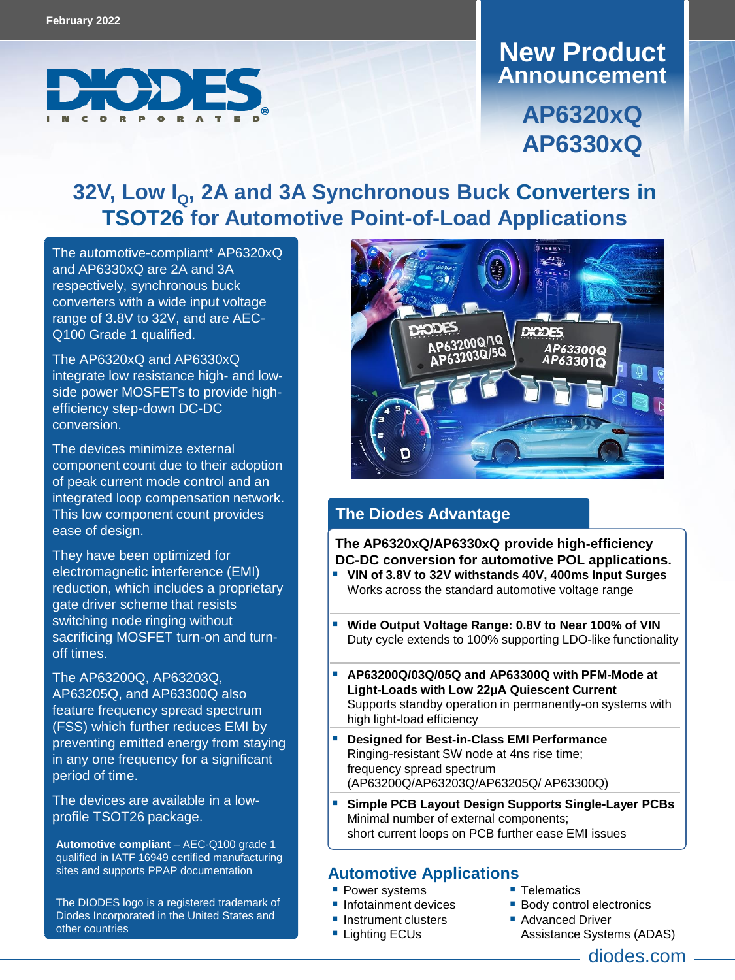

## **Announcement New Product**

**AP6320xQ AP6330xQ**

# **32V, Low IQ, 2A and 3A Synchronous Buck Converters in TSOT26 for Automotive Point-of-Load Applications**

The automotive-compliant\* AP6320xQ and AP6330xQ are 2A and 3A respectively, synchronous buck converters with a wide input voltage range of 3.8V to 32V, and are AEC-Q100 Grade 1 qualified.

The AP6320xQ and AP6330xQ integrate low resistance high- and lowside power MOSFETs to provide highefficiency step-down DC-DC conversion.

The devices minimize external component count due to their adoption of peak current mode control and an integrated loop compensation network. This low component count provides ease of design.

They have been optimized for electromagnetic interference (EMI) reduction, which includes a proprietary gate driver scheme that resists switching node ringing without sacrificing MOSFET turn-on and turnoff t[imes.](https://www.diodes.com/part/AP63200Q/) 

The [AP63200Q,](https://www.diodes.com/part/AP63200Q/) [AP63203Q,](https://www.diodes.com/part/AP63203Q) [AP63205Q](https://www.diodes.com/part/AP63205Q), and [AP63300Q](https://www.diodes.com/part/AP63300Q) also feature frequency spread spectrum (FSS) which further reduces EMI by preventing emitted energy from staying in any one frequency for a significant period of time.

The devices are available in a lowprofile TSOT26 package.

**Automotive compliant** – AEC-Q100 grade 1 qualified in IATF 16949 certified manufacturing sites and supports PPAP documentation

The DIODES logo is a registered trademark of Diodes Incorporated in the United States and other countries



#### **The Diodes Advantage**

**The AP6320xQ/AP6330xQ provide high-efficiency DC-DC conversion for automotive POL applications.**

- **VIN of 3.8V to 32V withstands 40V, 400ms Input Surges** Works across the standard automotive voltage range
- **Wide Output Voltage Range: 0.8V to Near 100% of VIN** Duty cycle extends to 100% supporting LDO-like functionality
- **AP63200Q/03Q/05Q and AP63300Q with PFM-Mode at Light-Loads with Low 22μA Quiescent Current** Supports standby operation in permanently-on systems with high light-load efficiency
- **Designed for Best-in-Class EMI Performance** Ringing-resistant SW node at 4ns rise time; frequency spread spectrum (AP63200Q/AP63203Q/AP63205Q/ AP63300Q)
- **Simple PCB Layout Design Supports Single-Layer PCBs** Minimal number of external components; short current loops on PCB further ease EMI issues

#### **Automotive Applications**

- **Power systems**
- **Infotainment devices**
- **Instrument clusters**
- Lighting ECUs
- **Telematics**
- **Body control electronics**
- Advanced Driver
- Assistance Systems (ADAS)

diodes.com